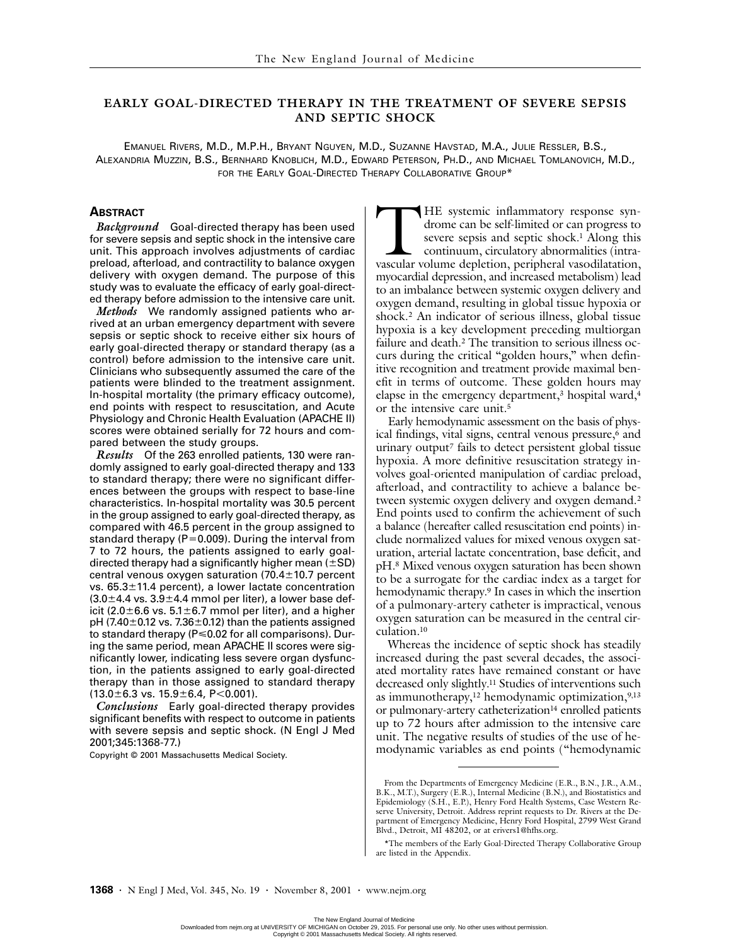# **EARLY GOAL-DIRECTED THERAPY IN THE TREATMENT OF SEVERE SEPSIS AND SEPTIC SHOCK**

EMANUEL RIVERS, M.D., M.P.H., BRYANT NGUYEN, M.D., SUZANNE HAVSTAD, M.A., JULIE RESSLER, B.S., ALEXANDRIA MUZZIN, B.S., BERNHARD KNOBLICH, M.D., EDWARD PETERSON, PH.D., AND MICHAEL TOMLANOVICH, M.D., FOR THE EARLY GOAL-DIRECTED THERAPY COLLABORATIVE GROUP\*

# **ABSTRACT**

*Background* Goal-directed therapy has been used for severe sepsis and septic shock in the intensive care unit. This approach involves adjustments of cardiac preload, afterload, and contractility to balance oxygen delivery with oxygen demand. The purpose of this study was to evaluate the efficacy of early goal-directed therapy before admission to the intensive care unit.

*Methods* We randomly assigned patients who arrived at an urban emergency department with severe sepsis or septic shock to receive either six hours of early goal-directed therapy or standard therapy (as a control) before admission to the intensive care unit. Clinicians who subsequently assumed the care of the patients were blinded to the treatment assignment. In-hospital mortality (the primary efficacy outcome), end points with respect to resuscitation, and Acute Physiology and Chronic Health Evaluation (APACHE II) scores were obtained serially for 72 hours and compared between the study groups.

*Results* Of the 263 enrolled patients, 130 were randomly assigned to early goal-directed therapy and 133 to standard therapy; there were no significant differences between the groups with respect to base-line characteristics. In-hospital mortality was 30.5 percent in the group assigned to early goal-directed therapy, as compared with 46.5 percent in the group assigned to standard therapy ( $P=0.009$ ). During the interval from 7 to 72 hours, the patients assigned to early goaldirected therapy had a significantly higher mean  $(\pm SD)$ central venous oxygen saturation (70.4±10.7 percent vs. 65.3±11.4 percent), a lower lactate concentration  $(3.0\pm4.4 \text{ vs. } 3.9\pm4.4 \text{ mmol per liter})$ , a lower base deficit (2.0 $\pm$ 6.6 vs. 5.1 $\pm$ 6.7 mmol per liter), and a higher pH (7.40 $\pm$ 0.12 vs. 7.36 $\pm$ 0.12) than the patients assigned to standard therapy ( $P \le 0.02$  for all comparisons). During the same period, mean APACHE II scores were significantly lower, indicating less severe organ dysfunction, in the patients assigned to early goal-directed therapy than in those assigned to standard therapy (13.0 $\pm$ 6.3 vs. 15.9 $\pm$ 6.4, P<0.001).

*Conclusions* Early goal-directed therapy provides significant benefits with respect to outcome in patients with severe sepsis and septic shock. (N Engl J Med 2001;345:1368-77.)

Copyright © 2001 Massachusetts Medical Society.

HE systemic inflammatory response syndrome can be self-limited or can progress to severe sepsis and septic shock.<sup>1</sup> Along this continuum, circulatory abnormalities (intra-THE systemic inflammatory response syndrome can be self-limited or can progress to severe sepsis and septic shock.<sup>1</sup> Along this continuum, circulatory abnormalities (intra-vascular volume depletion, peripheral vasodilatat myocardial depression, and increased metabolism) lead to an imbalance between systemic oxygen delivery and oxygen demand, resulting in global tissue hypoxia or shock.2 An indicator of serious illness, global tissue hypoxia is a key development preceding multiorgan failure and death.<sup>2</sup> The transition to serious illness occurs during the critical "golden hours," when definitive recognition and treatment provide maximal benefit in terms of outcome. These golden hours may elapse in the emergency department,<sup>3</sup> hospital ward, $4$ or the intensive care unit.5

Early hemodynamic assessment on the basis of physical findings, vital signs, central venous pressure,<sup>6</sup> and urinary output7 fails to detect persistent global tissue hypoxia. A more definitive resuscitation strategy involves goal-oriented manipulation of cardiac preload, afterload, and contractility to achieve a balance between systemic oxygen delivery and oxygen demand.<sup>2</sup> End points used to confirm the achievement of such a balance (hereafter called resuscitation end points) include normalized values for mixed venous oxygen saturation, arterial lactate concentration, base deficit, and pH.8 Mixed venous oxygen saturation has been shown to be a surrogate for the cardiac index as a target for hemodynamic therapy.9 In cases in which the insertion of a pulmonary-artery catheter is impractical, venous oxygen saturation can be measured in the central circulation.10

Whereas the incidence of septic shock has steadily increased during the past several decades, the associated mortality rates have remained constant or have decreased only slightly.11 Studies of interventions such as immunotherapy, $12$  hemodynamic optimization, $9,13$ or pulmonary-artery catheterization<sup>14</sup> enrolled patients up to 72 hours after admission to the intensive care unit. The negative results of studies of the use of hemodynamic variables as end points ("hemodynamic

**1368 ·** N Engl J Med, Vol. 345, No. 19 **·** November 8, 2001 **·** www.nejm.org

The New England Journal of Medicine<br>Downloaded from nejm.org at UNIVERSITY OF MICHIGAN on October 29, 2015. For personal use only. No other uses without permission. Copyright © 2001 Massachusetts Medical Society. All rights reserved.

From the Departments of Emergency Medicine (E.R., B.N., J.R., A.M., B.K., M.T.), Surgery (E.R.), Internal Medicine (B.N.), and Biostatistics and Epidemiology (S.H., E.P.), Henry Ford Health Systems, Case Western Reserve University, Detroit. Address reprint requests to Dr. Rivers at the Department of Emergency Medicine, Henry Ford Hospital, 2799 West Grand Blvd., Detroit, MI 48202, or at erivers1@hfhs.org.

<sup>\*</sup>The members of the Early Goal-Directed Therapy Collaborative Group are listed in the Appendix.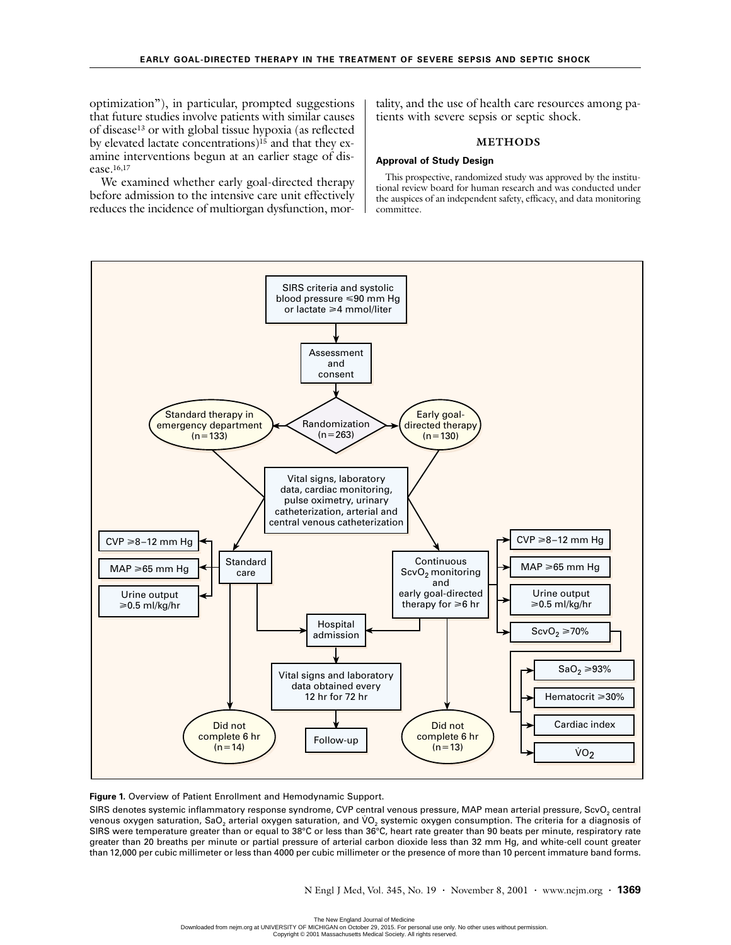optimization"), in particular, prompted suggestions that future studies involve patients with similar causes of disease13 or with global tissue hypoxia (as reflected by elevated lactate concentrations)15 and that they examine interventions begun at an earlier stage of disease.16,17

We examined whether early goal-directed therapy before admission to the intensive care unit effectively reduces the incidence of multiorgan dysfunction, mor-

tality, and the use of health care resources among patients with severe sepsis or septic shock.

# **METHODS**

# **Approval of Study Design**

This prospective, randomized study was approved by the institutional review board for human research and was conducted under the auspices of an independent safety, efficacy, and data monitoring committee.



## **Figure 1.** Overview of Patient Enrollment and Hemodynamic Support.

SIRS denotes systemic inflammatory response syndrome, CVP central venous pressure, MAP mean arterial pressure, ScvO<sub>2</sub> central venous oxygen saturation, SaO, arterial oxygen saturation, and VO<sub>2</sub> systemic oxygen consumption. The criteria for a diagnosis of SIRS were temperature greater than or equal to 38°C or less than 36°C, heart rate greater than 90 beats per minute, respiratory rate greater than 20 breaths per minute or partial pressure of arterial carbon dioxide less than 32 mm Hg, and white-cell count greater than 12,000 per cubic millimeter or less than 4000 per cubic millimeter or the presence of more than 10 percent immature band forms.

N Engl J Med, Vol. 345, No. 19 **·** November 8, 2001 **·** www.nejm.org **· 1369**

The New England Journal of Medicine<br>Downloaded from nejm.org at UNIVERSITY OF MICHIGAN on October 29, 2015. For personal use only. No other uses without permission.<br>Copyright © 2001 Massachusetts Medical Society. All righ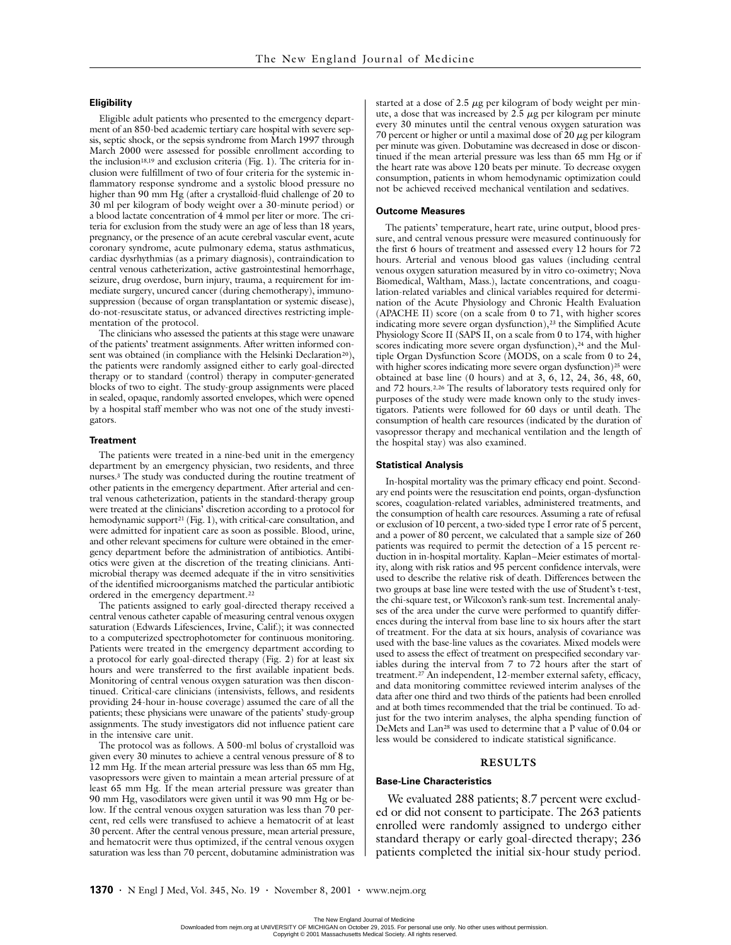### **Eligibility**

Eligible adult patients who presented to the emergency department of an 850-bed academic tertiary care hospital with severe sepsis, septic shock, or the sepsis syndrome from March 1997 through March 2000 were assessed for possible enrollment according to the inclusion<sup>18,19</sup> and exclusion criteria (Fig. 1). The criteria for inclusion were fulfillment of two of four criteria for the systemic inflammatory response syndrome and a systolic blood pressure no higher than 90 mm Hg (after a crystalloid-fluid challenge of 20 to 30 ml per kilogram of body weight over a 30-minute period) or a blood lactate concentration of 4 mmol per liter or more. The criteria for exclusion from the study were an age of less than 18 years, pregnancy, or the presence of an acute cerebral vascular event, acute coronary syndrome, acute pulmonary edema, status asthmaticus, cardiac dysrhythmias (as a primary diagnosis), contraindication to central venous catheterization, active gastrointestinal hemorrhage, seizure, drug overdose, burn injury, trauma, a requirement for immediate surgery, uncured cancer (during chemotherapy), immunosuppression (because of organ transplantation or systemic disease), do-not-resuscitate status, or advanced directives restricting implementation of the protocol.

The clinicians who assessed the patients at this stage were unaware of the patients' treatment assignments. After written informed consent was obtained (in compliance with the Helsinki Declaration<sup>20</sup>), the patients were randomly assigned either to early goal-directed therapy or to standard (control) therapy in computer-generated blocks of two to eight. The study-group assignments were placed in sealed, opaque, randomly assorted envelopes, which were opened by a hospital staff member who was not one of the study investigators.

# **Treatment**

The patients were treated in a nine-bed unit in the emergency department by an emergency physician, two residents, and three nurses.3 The study was conducted during the routine treatment of other patients in the emergency department. After arterial and central venous catheterization, patients in the standard-therapy group were treated at the clinicians' discretion according to a protocol for hemodynamic support<sup>21</sup> (Fig. 1), with critical-care consultation, and were admitted for inpatient care as soon as possible. Blood, urine, and other relevant specimens for culture were obtained in the emergency department before the administration of antibiotics. Antibiotics were given at the discretion of the treating clinicians. Antimicrobial therapy was deemed adequate if the in vitro sensitivities of the identified microorganisms matched the particular antibiotic ordered in the emergency department.22

The patients assigned to early goal-directed therapy received a central venous catheter capable of measuring central venous oxygen saturation (Edwards Lifesciences, Irvine, Calif.); it was connected to a computerized spectrophotometer for continuous monitoring. Patients were treated in the emergency department according to a protocol for early goal-directed therapy (Fig. 2) for at least six hours and were transferred to the first available inpatient beds. Monitoring of central venous oxygen saturation was then discontinued. Critical-care clinicians (intensivists, fellows, and residents providing 24-hour in-house coverage) assumed the care of all the patients; these physicians were unaware of the patients' study-group assignments. The study investigators did not influence patient care in the intensive care unit.

The protocol was as follows. A 500-ml bolus of crystalloid was given every 30 minutes to achieve a central venous pressure of 8 to 12 mm Hg. If the mean arterial pressure was less than 65 mm Hg, vasopressors were given to maintain a mean arterial pressure of at least 65 mm Hg. If the mean arterial pressure was greater than 90 mm Hg, vasodilators were given until it was 90 mm Hg or below. If the central venous oxygen saturation was less than 70 percent, red cells were transfused to achieve a hematocrit of at least 30 percent. After the central venous pressure, mean arterial pressure, and hematocrit were thus optimized, if the central venous oxygen saturation was less than 70 percent, dobutamine administration was started at a dose of 2.5  $\mu$ g per kilogram of body weight per minute, a dose that was increased by  $2.5 \mu$ g per kilogram per minute every 30 minutes until the central venous oxygen saturation was 70 percent or higher or until a maximal dose of  $20 \mu$ g per kilogram per minute was given. Dobutamine was decreased in dose or discontinued if the mean arterial pressure was less than 65 mm Hg or if the heart rate was above 120 beats per minute. To decrease oxygen consumption, patients in whom hemodynamic optimization could not be achieved received mechanical ventilation and sedatives.

## **Outcome Measures**

The patients' temperature, heart rate, urine output, blood pressure, and central venous pressure were measured continuously for the first 6 hours of treatment and assessed every 12 hours for 72 hours. Arterial and venous blood gas values (including central venous oxygen saturation measured by in vitro co-oximetry; Nova Biomedical, Waltham, Mass.), lactate concentrations, and coagulation-related variables and clinical variables required for determination of the Acute Physiology and Chronic Health Evaluation (APACHE II) score (on a scale from 0 to 71, with higher scores indicating more severe organ dysfunction),<sup>23</sup> the Simplified Acute Physiology Score II (SAPS II, on a scale from 0 to 174, with higher scores indicating more severe organ dysfunction), $24$  and the Multiple Organ Dysfunction Score (MODS, on a scale from 0 to 24, with higher scores indicating more severe organ dysfunction)<sup>25</sup> were obtained at base line (0 hours) and at 3, 6, 12, 24, 36, 48, 60, and 72 hours.2,26 The results of laboratory tests required only for purposes of the study were made known only to the study investigators. Patients were followed for 60 days or until death. The consumption of health care resources (indicated by the duration of vasopressor therapy and mechanical ventilation and the length of the hospital stay) was also examined.

## **Statistical Analysis**

In-hospital mortality was the primary efficacy end point. Secondary end points were the resuscitation end points, organ-dysfunction scores, coagulation-related variables, administered treatments, and the consumption of health care resources. Assuming a rate of refusal or exclusion of 10 percent, a two-sided type I error rate of 5 percent, and a power of 80 percent, we calculated that a sample size of 260 patients was required to permit the detection of a 15 percent reduction in in-hospital mortality. Kaplan–Meier estimates of mortality, along with risk ratios and 95 percent confidence intervals, were used to describe the relative risk of death. Differences between the two groups at base line were tested with the use of Student's t-test, the chi-square test, or Wilcoxon's rank-sum test. Incremental analyses of the area under the curve were performed to quantify differences during the interval from base line to six hours after the start of treatment. For the data at six hours, analysis of covariance was used with the base-line values as the covariates. Mixed models were used to assess the effect of treatment on prespecified secondary variables during the interval from 7 to 72 hours after the start of treatment.27 An independent, 12-member external safety, efficacy, and data monitoring committee reviewed interim analyses of the data after one third and two thirds of the patients had been enrolled and at both times recommended that the trial be continued. To adjust for the two interim analyses, the alpha spending function of DeMets and Lan28 was used to determine that a P value of 0.04 or less would be considered to indicate statistical significance.

#### **RESULTS**

# **Base-Line Characteristics**

We evaluated 288 patients; 8.7 percent were excluded or did not consent to participate. The 263 patients enrolled were randomly assigned to undergo either standard therapy or early goal-directed therapy; 236 patients completed the initial six-hour study period.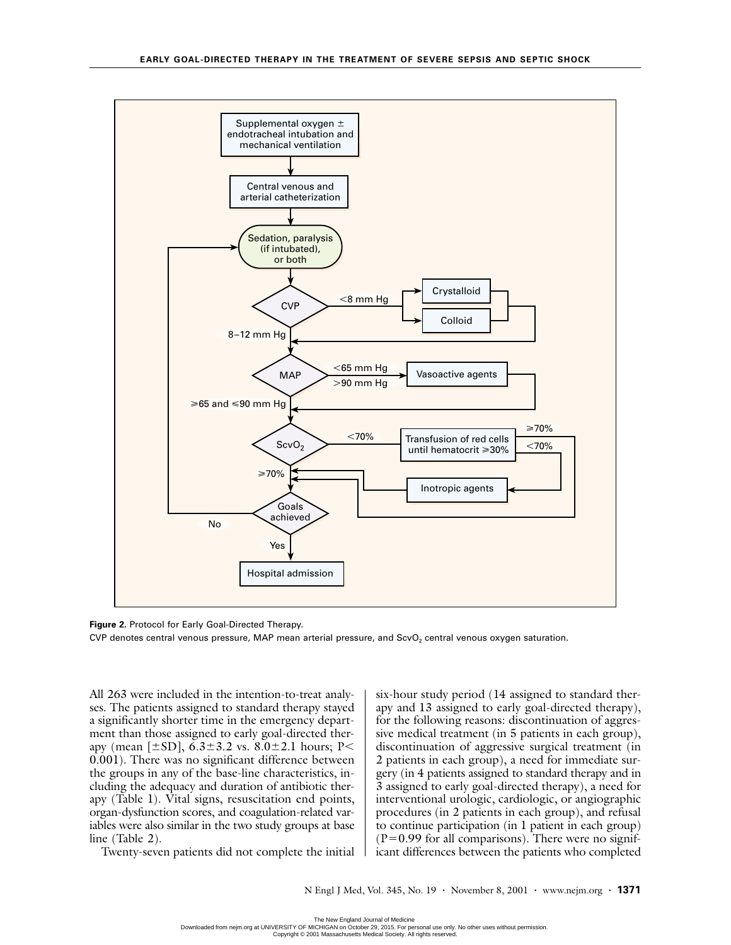

**Figure 2.** Protocol for Early Goal-Directed Therapy. CVP denotes central venous pressure, MAP mean arterial pressure, and ScvO<sub>2</sub> central venous oxygen saturation.

All 263 were included in the intention-to-treat analyses. The patients assigned to standard therapy stayed a significantly shorter time in the emergency department than those assigned to early goal-directed therapy (mean  $[\pm SD]$ , 6.3 $\pm 3.2$  vs. 8.0 $\pm 2.1$  hours; P< 0.001). There was no significant difference between the groups in any of the base-line characteristics, including the adequacy and duration of antibiotic therapy (Table 1). Vital signs, resuscitation end points, organ-dysfunction scores, and coagulation-related variables were also similar in the two study groups at base line (Table 2).

Twenty-seven patients did not complete the initial

six-hour study period (14 assigned to standard therapy and 13 assigned to early goal-directed therapy), for the following reasons: discontinuation of aggressive medical treatment (in 5 patients in each group), discontinuation of aggressive surgical treatment (in 2 patients in each group), a need for immediate surgery (in 4 patients assigned to standard therapy and in 3 assigned to early goal-directed therapy), a need for interventional urologic, cardiologic, or angiographic procedures (in 2 patients in each group), and refusal to continue participation (in 1 patient in each group)  $(P=0.99$  for all comparisons). There were no significant differences between the patients who completed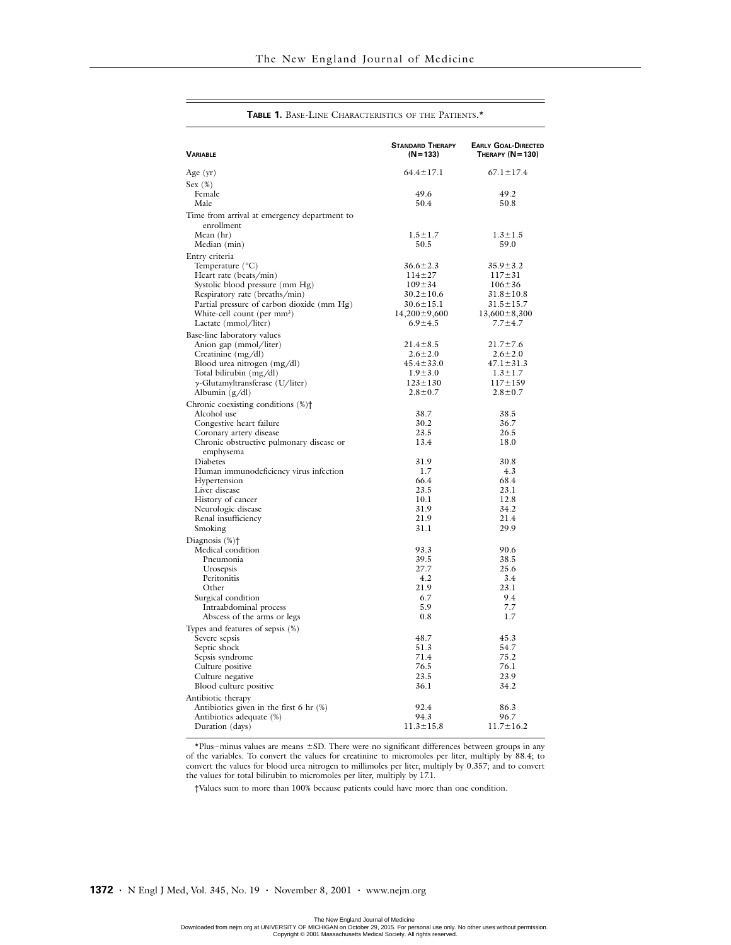| <b>EARLY GOAL-DIRECTED</b><br><b>STANDARD THERAPY</b><br><b><i>VARIABLE</i></b><br>$(N=133)$<br>THERAPY $(N = 130)$<br>$64.4 \pm 17.1$<br>$67.1 \pm 17.4$<br>Age $(yr)$<br>Sex $(\%)$<br>49.6<br>49.2<br>Female<br>Male<br>50.4<br>50.8<br>Time from arrival at emergency department to<br>enrollment<br>$1.5 \pm 1.7$<br>$1.3 \pm 1.5$<br>Mean (hr)<br>Median (min)<br>50.5<br>59.0<br>Entry criteria<br>Temperature $(^{\circ}C)$<br>$36.6 \pm 2.3$<br>$35.9 \pm 3.2$<br>Heart rate (beats/min)<br>$114 \pm 27$<br>$117 + 31$<br>Systolic blood pressure (mm Hg)<br>$109 \pm 34$<br>$106 \pm 36$<br>Respiratory rate (breaths/min)<br>$30.2 \pm 10.6$<br>$31.8 \pm 10.8$<br>Partial pressure of carbon dioxide (mm Hg)<br>$30.6 \pm 15.1$<br>$31.5 \pm 15.7$<br>$13,600 \pm 8,300$<br>White-cell count (per mm <sup>3</sup> )<br>$14,200 \pm 9,600$<br>Lactate (mmol/liter)<br>$6.9 + 4.5$<br>$7.7 + 4.7$<br>Base-line laboratory values<br>Anion gap (mmol/liter)<br>$21.7 \pm 7.6$<br>$21.4 \pm 8.5$<br>Creatinine (mg/dl)<br>$2.6 + 2.0$<br>$2.6 \pm 2.0$<br>Blood urea nitrogen (mg/dl)<br>$45.4 \pm 33.0$<br>$47.1 \pm 31.3$<br>Total bilirubin (mg/dl)<br>$1.9 \pm 3.0$<br>$1.3 \pm 1.7$<br>$\gamma$ -Glutamyltransferase (U/liter)<br>$123 \pm 130$<br>$117 + 159$<br>Albumin $(g/dl)$<br>$2.8 \pm 0.7$<br>$2.8 \pm 0.7$<br>Chronic coexisting conditions (%) <sup>+</sup><br>Alcohol use<br>38.7<br>38.5<br>Congestive heart failure<br>36.7<br>30.2 |
|----------------------------------------------------------------------------------------------------------------------------------------------------------------------------------------------------------------------------------------------------------------------------------------------------------------------------------------------------------------------------------------------------------------------------------------------------------------------------------------------------------------------------------------------------------------------------------------------------------------------------------------------------------------------------------------------------------------------------------------------------------------------------------------------------------------------------------------------------------------------------------------------------------------------------------------------------------------------------------------------------------------------------------------------------------------------------------------------------------------------------------------------------------------------------------------------------------------------------------------------------------------------------------------------------------------------------------------------------------------------------------------------------------------------------------------------------------------|
|                                                                                                                                                                                                                                                                                                                                                                                                                                                                                                                                                                                                                                                                                                                                                                                                                                                                                                                                                                                                                                                                                                                                                                                                                                                                                                                                                                                                                                                                |
|                                                                                                                                                                                                                                                                                                                                                                                                                                                                                                                                                                                                                                                                                                                                                                                                                                                                                                                                                                                                                                                                                                                                                                                                                                                                                                                                                                                                                                                                |
|                                                                                                                                                                                                                                                                                                                                                                                                                                                                                                                                                                                                                                                                                                                                                                                                                                                                                                                                                                                                                                                                                                                                                                                                                                                                                                                                                                                                                                                                |
|                                                                                                                                                                                                                                                                                                                                                                                                                                                                                                                                                                                                                                                                                                                                                                                                                                                                                                                                                                                                                                                                                                                                                                                                                                                                                                                                                                                                                                                                |
|                                                                                                                                                                                                                                                                                                                                                                                                                                                                                                                                                                                                                                                                                                                                                                                                                                                                                                                                                                                                                                                                                                                                                                                                                                                                                                                                                                                                                                                                |
|                                                                                                                                                                                                                                                                                                                                                                                                                                                                                                                                                                                                                                                                                                                                                                                                                                                                                                                                                                                                                                                                                                                                                                                                                                                                                                                                                                                                                                                                |
|                                                                                                                                                                                                                                                                                                                                                                                                                                                                                                                                                                                                                                                                                                                                                                                                                                                                                                                                                                                                                                                                                                                                                                                                                                                                                                                                                                                                                                                                |
|                                                                                                                                                                                                                                                                                                                                                                                                                                                                                                                                                                                                                                                                                                                                                                                                                                                                                                                                                                                                                                                                                                                                                                                                                                                                                                                                                                                                                                                                |
|                                                                                                                                                                                                                                                                                                                                                                                                                                                                                                                                                                                                                                                                                                                                                                                                                                                                                                                                                                                                                                                                                                                                                                                                                                                                                                                                                                                                                                                                |
|                                                                                                                                                                                                                                                                                                                                                                                                                                                                                                                                                                                                                                                                                                                                                                                                                                                                                                                                                                                                                                                                                                                                                                                                                                                                                                                                                                                                                                                                |
|                                                                                                                                                                                                                                                                                                                                                                                                                                                                                                                                                                                                                                                                                                                                                                                                                                                                                                                                                                                                                                                                                                                                                                                                                                                                                                                                                                                                                                                                |
|                                                                                                                                                                                                                                                                                                                                                                                                                                                                                                                                                                                                                                                                                                                                                                                                                                                                                                                                                                                                                                                                                                                                                                                                                                                                                                                                                                                                                                                                |
|                                                                                                                                                                                                                                                                                                                                                                                                                                                                                                                                                                                                                                                                                                                                                                                                                                                                                                                                                                                                                                                                                                                                                                                                                                                                                                                                                                                                                                                                |
|                                                                                                                                                                                                                                                                                                                                                                                                                                                                                                                                                                                                                                                                                                                                                                                                                                                                                                                                                                                                                                                                                                                                                                                                                                                                                                                                                                                                                                                                |
|                                                                                                                                                                                                                                                                                                                                                                                                                                                                                                                                                                                                                                                                                                                                                                                                                                                                                                                                                                                                                                                                                                                                                                                                                                                                                                                                                                                                                                                                |
|                                                                                                                                                                                                                                                                                                                                                                                                                                                                                                                                                                                                                                                                                                                                                                                                                                                                                                                                                                                                                                                                                                                                                                                                                                                                                                                                                                                                                                                                |
|                                                                                                                                                                                                                                                                                                                                                                                                                                                                                                                                                                                                                                                                                                                                                                                                                                                                                                                                                                                                                                                                                                                                                                                                                                                                                                                                                                                                                                                                |
|                                                                                                                                                                                                                                                                                                                                                                                                                                                                                                                                                                                                                                                                                                                                                                                                                                                                                                                                                                                                                                                                                                                                                                                                                                                                                                                                                                                                                                                                |
|                                                                                                                                                                                                                                                                                                                                                                                                                                                                                                                                                                                                                                                                                                                                                                                                                                                                                                                                                                                                                                                                                                                                                                                                                                                                                                                                                                                                                                                                |
|                                                                                                                                                                                                                                                                                                                                                                                                                                                                                                                                                                                                                                                                                                                                                                                                                                                                                                                                                                                                                                                                                                                                                                                                                                                                                                                                                                                                                                                                |
|                                                                                                                                                                                                                                                                                                                                                                                                                                                                                                                                                                                                                                                                                                                                                                                                                                                                                                                                                                                                                                                                                                                                                                                                                                                                                                                                                                                                                                                                |
|                                                                                                                                                                                                                                                                                                                                                                                                                                                                                                                                                                                                                                                                                                                                                                                                                                                                                                                                                                                                                                                                                                                                                                                                                                                                                                                                                                                                                                                                |
|                                                                                                                                                                                                                                                                                                                                                                                                                                                                                                                                                                                                                                                                                                                                                                                                                                                                                                                                                                                                                                                                                                                                                                                                                                                                                                                                                                                                                                                                |
|                                                                                                                                                                                                                                                                                                                                                                                                                                                                                                                                                                                                                                                                                                                                                                                                                                                                                                                                                                                                                                                                                                                                                                                                                                                                                                                                                                                                                                                                |
|                                                                                                                                                                                                                                                                                                                                                                                                                                                                                                                                                                                                                                                                                                                                                                                                                                                                                                                                                                                                                                                                                                                                                                                                                                                                                                                                                                                                                                                                |
| Coronary artery disease<br>26.5<br>23.5                                                                                                                                                                                                                                                                                                                                                                                                                                                                                                                                                                                                                                                                                                                                                                                                                                                                                                                                                                                                                                                                                                                                                                                                                                                                                                                                                                                                                        |
| Chronic obstructive pulmonary disease or<br>13.4<br>18.0                                                                                                                                                                                                                                                                                                                                                                                                                                                                                                                                                                                                                                                                                                                                                                                                                                                                                                                                                                                                                                                                                                                                                                                                                                                                                                                                                                                                       |
| emphysema                                                                                                                                                                                                                                                                                                                                                                                                                                                                                                                                                                                                                                                                                                                                                                                                                                                                                                                                                                                                                                                                                                                                                                                                                                                                                                                                                                                                                                                      |
| <b>Diabetes</b><br>31.9<br>30.8<br>4.3<br>Human immunodeficiency virus infection<br>1.7                                                                                                                                                                                                                                                                                                                                                                                                                                                                                                                                                                                                                                                                                                                                                                                                                                                                                                                                                                                                                                                                                                                                                                                                                                                                                                                                                                        |
| Hypertension<br>66.4<br>68.4                                                                                                                                                                                                                                                                                                                                                                                                                                                                                                                                                                                                                                                                                                                                                                                                                                                                                                                                                                                                                                                                                                                                                                                                                                                                                                                                                                                                                                   |
| Liver disease<br>23.5<br>23.1                                                                                                                                                                                                                                                                                                                                                                                                                                                                                                                                                                                                                                                                                                                                                                                                                                                                                                                                                                                                                                                                                                                                                                                                                                                                                                                                                                                                                                  |
| History of cancer<br>10.1<br>12.8                                                                                                                                                                                                                                                                                                                                                                                                                                                                                                                                                                                                                                                                                                                                                                                                                                                                                                                                                                                                                                                                                                                                                                                                                                                                                                                                                                                                                              |
| Neurologic disease<br>31.9<br>34.2                                                                                                                                                                                                                                                                                                                                                                                                                                                                                                                                                                                                                                                                                                                                                                                                                                                                                                                                                                                                                                                                                                                                                                                                                                                                                                                                                                                                                             |
| Renal insufficiency<br>21.9<br>21.4                                                                                                                                                                                                                                                                                                                                                                                                                                                                                                                                                                                                                                                                                                                                                                                                                                                                                                                                                                                                                                                                                                                                                                                                                                                                                                                                                                                                                            |
| Smoking<br>31.1<br>29.9                                                                                                                                                                                                                                                                                                                                                                                                                                                                                                                                                                                                                                                                                                                                                                                                                                                                                                                                                                                                                                                                                                                                                                                                                                                                                                                                                                                                                                        |
| Diagnosis $(\%)\uparrow$                                                                                                                                                                                                                                                                                                                                                                                                                                                                                                                                                                                                                                                                                                                                                                                                                                                                                                                                                                                                                                                                                                                                                                                                                                                                                                                                                                                                                                       |
| Medical condition<br>90.6<br>93.3                                                                                                                                                                                                                                                                                                                                                                                                                                                                                                                                                                                                                                                                                                                                                                                                                                                                                                                                                                                                                                                                                                                                                                                                                                                                                                                                                                                                                              |
| 38.5<br>Pneumonia<br>39.5<br>25.6                                                                                                                                                                                                                                                                                                                                                                                                                                                                                                                                                                                                                                                                                                                                                                                                                                                                                                                                                                                                                                                                                                                                                                                                                                                                                                                                                                                                                              |
| Urosepsis<br>27.7<br>Peritonitis<br>3.4<br>4.2                                                                                                                                                                                                                                                                                                                                                                                                                                                                                                                                                                                                                                                                                                                                                                                                                                                                                                                                                                                                                                                                                                                                                                                                                                                                                                                                                                                                                 |
| Other<br>21.9<br>23.1                                                                                                                                                                                                                                                                                                                                                                                                                                                                                                                                                                                                                                                                                                                                                                                                                                                                                                                                                                                                                                                                                                                                                                                                                                                                                                                                                                                                                                          |
| Surgical condition<br>6.7<br>9.4                                                                                                                                                                                                                                                                                                                                                                                                                                                                                                                                                                                                                                                                                                                                                                                                                                                                                                                                                                                                                                                                                                                                                                                                                                                                                                                                                                                                                               |
| 7.7<br>Intraabdominal process<br>5.9                                                                                                                                                                                                                                                                                                                                                                                                                                                                                                                                                                                                                                                                                                                                                                                                                                                                                                                                                                                                                                                                                                                                                                                                                                                                                                                                                                                                                           |
| Abscess of the arms or legs<br>0.8<br>1.7                                                                                                                                                                                                                                                                                                                                                                                                                                                                                                                                                                                                                                                                                                                                                                                                                                                                                                                                                                                                                                                                                                                                                                                                                                                                                                                                                                                                                      |
| Types and features of sepsis (%)                                                                                                                                                                                                                                                                                                                                                                                                                                                                                                                                                                                                                                                                                                                                                                                                                                                                                                                                                                                                                                                                                                                                                                                                                                                                                                                                                                                                                               |
| Severe sepsis<br>48.7<br>45.3                                                                                                                                                                                                                                                                                                                                                                                                                                                                                                                                                                                                                                                                                                                                                                                                                                                                                                                                                                                                                                                                                                                                                                                                                                                                                                                                                                                                                                  |
| Septic shock<br>51.3<br>54.7                                                                                                                                                                                                                                                                                                                                                                                                                                                                                                                                                                                                                                                                                                                                                                                                                                                                                                                                                                                                                                                                                                                                                                                                                                                                                                                                                                                                                                   |
| 71.4<br>Sepsis syndrome<br>75.2                                                                                                                                                                                                                                                                                                                                                                                                                                                                                                                                                                                                                                                                                                                                                                                                                                                                                                                                                                                                                                                                                                                                                                                                                                                                                                                                                                                                                                |
| Culture positive<br>76.5<br>76.1                                                                                                                                                                                                                                                                                                                                                                                                                                                                                                                                                                                                                                                                                                                                                                                                                                                                                                                                                                                                                                                                                                                                                                                                                                                                                                                                                                                                                               |
| 23.9<br>Culture negative<br>23.5<br>Blood culture positive<br>36.1<br>34.2                                                                                                                                                                                                                                                                                                                                                                                                                                                                                                                                                                                                                                                                                                                                                                                                                                                                                                                                                                                                                                                                                                                                                                                                                                                                                                                                                                                     |
|                                                                                                                                                                                                                                                                                                                                                                                                                                                                                                                                                                                                                                                                                                                                                                                                                                                                                                                                                                                                                                                                                                                                                                                                                                                                                                                                                                                                                                                                |
| Antibiotic therapy<br>Antibiotics given in the first 6 hr (%)<br>86.3<br>92.4                                                                                                                                                                                                                                                                                                                                                                                                                                                                                                                                                                                                                                                                                                                                                                                                                                                                                                                                                                                                                                                                                                                                                                                                                                                                                                                                                                                  |
| 94.3<br>96.7<br>Antibiotics adequate (%)                                                                                                                                                                                                                                                                                                                                                                                                                                                                                                                                                                                                                                                                                                                                                                                                                                                                                                                                                                                                                                                                                                                                                                                                                                                                                                                                                                                                                       |
| $11.3 \pm 15.8$<br>$11.7 \pm 16.2$<br>Duration (days)                                                                                                                                                                                                                                                                                                                                                                                                                                                                                                                                                                                                                                                                                                                                                                                                                                                                                                                                                                                                                                                                                                                                                                                                                                                                                                                                                                                                          |

**TABLE 1.** BASE-LINE CHARACTERISTICS OF THE PATIENTS.\*

\*Plus–minus values are means ±SD. There were no significant differences between groups in any of the variables. To convert the values for creatinine to micromoles per liter, multiply by 88.4; to convert the values for blood urea nitrogen to millimoles per liter, multiply by 0.357; and to convert the values for total bilirubin to micromoles per liter, multiply by 17.1.

†Values sum to more than 100% because patients could have more than one condition.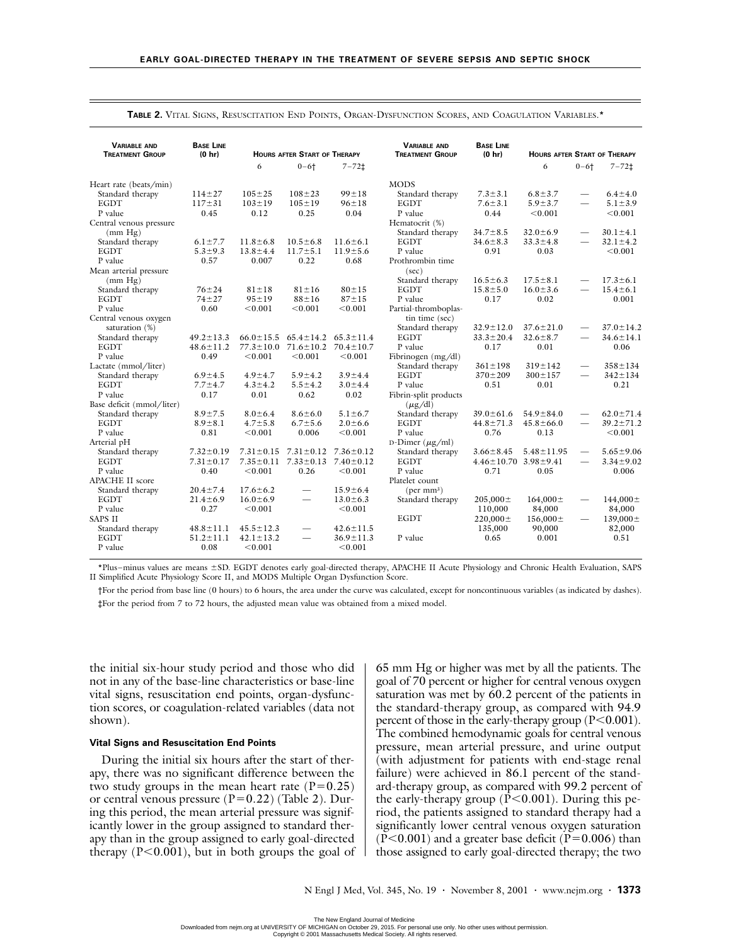| <b>VARIABLE AND</b><br><b>TREATMENT GROUP</b> | <b>BASE LINE</b><br>(0 <sub>hr</sub> ) |                 | <b>HOURS AFTER START OF THERAPY</b> |                 | <b>VARIABLE AND</b><br><b>TREATMENT GROUP</b> | <b>BASE LINE</b><br>(0 hr) | <b>HOURS AFTER START OF THERAPY</b> |                          |                 |
|-----------------------------------------------|----------------------------------------|-----------------|-------------------------------------|-----------------|-----------------------------------------------|----------------------------|-------------------------------------|--------------------------|-----------------|
|                                               |                                        | 6               | $0 - 61$                            | $7 - 72t$       |                                               |                            | 6                                   | $0 - 61$                 | $7 - 721$       |
|                                               |                                        |                 |                                     |                 |                                               |                            |                                     |                          |                 |
| Heart rate (beats/min)                        |                                        |                 |                                     |                 | <b>MODS</b>                                   |                            |                                     |                          |                 |
| Standard therapy                              | $114 \pm 27$                           | $105 \pm 25$    | $108 \pm 23$                        | $99 \pm 18$     | Standard therapy                              | $7.3 \pm 3.1$              | $6.8 \pm 3.7$                       |                          | $6.4 \pm 4.0$   |
| <b>EGDT</b>                                   | $117 + 31$                             | $103 \pm 19$    | $105 \pm 19$                        | $96 \pm 18$     | <b>EGDT</b>                                   | $7.6 \pm 3.1$              | $5.9 \pm 3.7$                       | $\overline{\phantom{0}}$ | $5.1 \pm 3.9$   |
| P value                                       | 0.45                                   | 0.12            | 0.25                                | 0.04            | P value                                       | 0.44                       | < 0.001                             |                          | < 0.001         |
| Central venous pressure                       |                                        |                 |                                     |                 | Hematocrit (%)                                |                            |                                     |                          |                 |
| (mm Hg)                                       |                                        |                 |                                     |                 | Standard therapy                              | $34.7 \pm 8.5$             | $32.0 \pm 6.9$                      |                          | $30.1 \pm 4.1$  |
| Standard therapy                              | $6.1 \pm 7.7$                          | $11.8 \pm 6.8$  | $10.5 \pm 6.8$                      | $11.6 \pm 6.1$  | <b>EGDT</b>                                   | $34.6 \pm 8.3$             | $33.3 \pm 4.8$                      | $\overline{\phantom{m}}$ | $32.1 \pm 4.2$  |
| <b>EGDT</b>                                   | $5.3 \pm 9.3$                          | $13.8 \pm 4.4$  | $11.7 \pm 5.1$                      | $11.9 \pm 5.6$  | P value                                       | 0.91                       | 0.03                                |                          | < 0.001         |
| P value                                       | 0.57                                   | 0.007           | 0.22                                | 0.68            | Prothrombin time                              |                            |                                     |                          |                 |
| Mean arterial pressure                        |                                        |                 |                                     |                 | (sec)                                         |                            |                                     |                          |                 |
| (mm Hg)                                       |                                        |                 |                                     |                 | Standard therapy                              | $16.5 \pm 6.3$             | $17.5 \pm 8.1$                      |                          | $17.3 \pm 6.1$  |
| Standard therapy                              | $76 + 24$                              | $81 \pm 18$     | $81 \pm 16$                         | $80 \pm 15$     | <b>EGDT</b>                                   | $15.8 \pm 5.0$             | $16.0 \pm 3.6$                      | $\overline{\phantom{0}}$ | $15.4 \pm 6.1$  |
| <b>EGDT</b>                                   | $74 + 27$                              | $95 + 19$       | $88 + 16$                           | $87 + 15$       | P value                                       | 0.17                       | 0.02                                |                          | 0.001           |
| P value                                       | 0.60                                   | $<$ 0.001 $\,$  | < 0.001                             | $<$ 0.001       | Partial-thromboplas-                          |                            |                                     |                          |                 |
| Central venous oxygen                         |                                        |                 |                                     |                 | tin time (sec)                                |                            |                                     |                          |                 |
| saturation (%)                                |                                        |                 |                                     |                 | Standard therapy                              | $32.9 \pm 12.0$            | $37.6 \pm 21.0$                     | $\overline{\phantom{0}}$ | $37.0 \pm 14.2$ |
| Standard therapy                              | $49.2 \pm 13.3$                        | $66.0 \pm 15.5$ | $65.4 \pm 14.2$                     | $65.3 \pm 11.4$ | EGDT                                          | $33.3 \pm 20.4$            | $32.6 \pm 8.7$                      |                          | $34.6 \pm 14.1$ |
| <b>EGDT</b>                                   | $48.6 \pm 11.2$                        | $77.3 \pm 10.0$ | $71.6 \pm 10.2$                     | $70.4 \pm 10.7$ | P value                                       | 0.17                       | 0.01                                |                          | 0.06            |
| P value                                       | 0.49                                   | < 0.001         | < 0.001                             | < 0.001         | Fibrinogen (mg/dl)                            |                            |                                     |                          |                 |
| Lactate (mmol/liter)                          |                                        |                 |                                     |                 | Standard therapy                              | $361 \pm 198$              | $319 \pm 142$                       | $\overline{\phantom{m}}$ | $358 \pm 134$   |
| Standard therapy                              | $6.9 \pm 4.5$                          | $4.9 \pm 4.7$   | $5.9 \pm 4.2$                       | $3.9 + 4.4$     | <b>EGDT</b>                                   | $370 \pm 209$              | $300 \pm 157$                       | $\overline{\phantom{0}}$ | $342 \pm 134$   |
| EGDT                                          | $7.7 + 4.7$                            | $4.3 \pm 4.2$   | $5.5 \pm 4.2$                       | $3.0 \pm 4.4$   | P value                                       | 0.51                       | 0.01                                |                          | 0.21            |
| P value                                       | 0.17                                   | 0.01            | 0.62                                | 0.02            | Fibrin-split products                         |                            |                                     |                          |                 |
| Base deficit (mmol/liter)                     |                                        |                 |                                     |                 | $(\mu$ g/dl)                                  |                            |                                     |                          |                 |
| Standard therapy                              | $8.9 + 7.5$                            | $8.0 \pm 6.4$   | $8.6 \pm 6.0$                       | $5.1 \pm 6.7$   | Standard therapy                              | $39.0 \pm 61.6$            | $54.9 \pm 84.0$                     |                          | $62.0 \pm 71.4$ |
| <b>EGDT</b>                                   | $8.9 + 8.1$                            | $4.7 \pm 5.8$   | $6.7 \pm 5.6$                       | $2.0 \pm 6.6$   | <b>EGDT</b>                                   | $44.8 \pm 71.3$            | $45.8 \pm 66.0$                     | $\overline{\phantom{0}}$ | $39.2 \pm 71.2$ |
| P value                                       | 0.81                                   | < 0.001         | 0.006                               | < 0.001         | P value                                       | 0.76                       | 0.13                                |                          | < 0.001         |
| Arterial pH                                   |                                        |                 |                                     |                 | $D$ -Dimer ( $\mu$ g/ml)                      |                            |                                     |                          |                 |
| Standard therapy                              | $7.32 \pm 0.19$                        | $7.31 \pm 0.15$ | $7.31 \pm 0.12$                     | $7.36 \pm 0.12$ | Standard therapy                              | $3.66 \pm 8.45$            | $5.48 \pm 11.95$                    | $\overline{\phantom{0}}$ | $5.65 \pm 9.06$ |
| <b>EGDT</b>                                   | $7.31 \pm 0.17$                        | $7.35 \pm 0.11$ | $7.33 \pm 0.13$                     | $7.40 \pm 0.12$ | <b>EGDT</b>                                   | $4.46 \pm 10.70$           | $3.98 \pm 9.41$                     | $\overline{\phantom{0}}$ | $3.34 \pm 9.02$ |
| P value                                       | 0.40                                   | < 0.001         | 0.26                                | < 0.001         | P value                                       | 0.71                       | 0.05                                |                          | 0.006           |
| <b>APACHE II score</b>                        |                                        |                 |                                     |                 | Platelet count                                |                            |                                     |                          |                 |
| Standard therapy                              | $20.4 \pm 7.4$                         | $17.6 \pm 6.2$  |                                     | $15.9 \pm 6.4$  | $(\text{per mm}^3)$                           |                            |                                     |                          |                 |
| EGDT                                          | $21.4 \pm 6.9$                         | $16.0 \pm 6.9$  |                                     | $13.0 \pm 6.3$  | Standard therapy                              | $205,000 \pm$              | $164,000 \pm$                       |                          | $144,000\pm$    |
| P value                                       | 0.27                                   | < 0.001         |                                     | < 0.001         |                                               | 110,000                    | 84,000                              |                          | 84,000          |
| <b>SAPS II</b>                                |                                        |                 |                                     |                 | <b>EGDT</b>                                   | $220,000 \pm$              | $156,000 \pm$                       |                          | 139,000±        |
| Standard therapy                              | $48.8 \pm 11.1$                        | $45.5 \pm 12.3$ |                                     | $42.6 \pm 11.5$ |                                               | 135,000                    | 90,000                              |                          | 82,000          |
| <b>EGDT</b>                                   | $51.2 \pm 11.1$                        | $42.1 \pm 13.2$ |                                     | $36.9 \pm 11.3$ | P value                                       | 0.65                       | 0.001                               |                          | 0.51            |
| P value                                       | 0.08                                   | < 0.001         |                                     | < 0.001         |                                               |                            |                                     |                          |                 |

#### **TABLE 2.** VITAL SIGNS, RESUSCITATION END POINTS, ORGAN-DYSFUNCTION SCORES, AND COAGULATION VARIABLES.\*

\*Plus–minus values are means ±SD. EGDT denotes early goal-directed therapy, APACHE II Acute Physiology and Chronic Health Evaluation, SAPS II Simplified Acute Physiology Score II, and MODS Multiple Organ Dysfunction Score.

†For the period from base line (0 hours) to 6 hours, the area under the curve was calculated, except for noncontinuous variables (as indicated by dashes). ‡For the period from 7 to 72 hours, the adjusted mean value was obtained from a mixed model.

the initial six-hour study period and those who did not in any of the base-line characteristics or base-line vital signs, resuscitation end points, organ-dysfunction scores, or coagulation-related variables (data not shown).

# **Vital Signs and Resuscitation End Points**

During the initial six hours after the start of therapy, there was no significant difference between the two study groups in the mean heart rate  $(P=0.25)$ or central venous pressure  $(P=0.22)$  (Table 2). During this period, the mean arterial pressure was significantly lower in the group assigned to standard therapy than in the group assigned to early goal-directed therapy  $(P<0.001)$ , but in both groups the goal of 65 mm Hg or higher was met by all the patients. The goal of 70 percent or higher for central venous oxygen saturation was met by 60.2 percent of the patients in the standard-therapy group, as compared with 94.9 percent of those in the early-therapy group  $(P<0.001)$ . The combined hemodynamic goals for central venous pressure, mean arterial pressure, and urine output (with adjustment for patients with end-stage renal failure) were achieved in 86.1 percent of the standard-therapy group, as compared with 99.2 percent of the early-therapy group  $(P<0.001)$ . During this period, the patients assigned to standard therapy had a significantly lower central venous oxygen saturation  $(\overline{P} < 0.001)$  and a greater base deficit  $(\overline{P} = 0.006)$  than those assigned to early goal-directed therapy; the two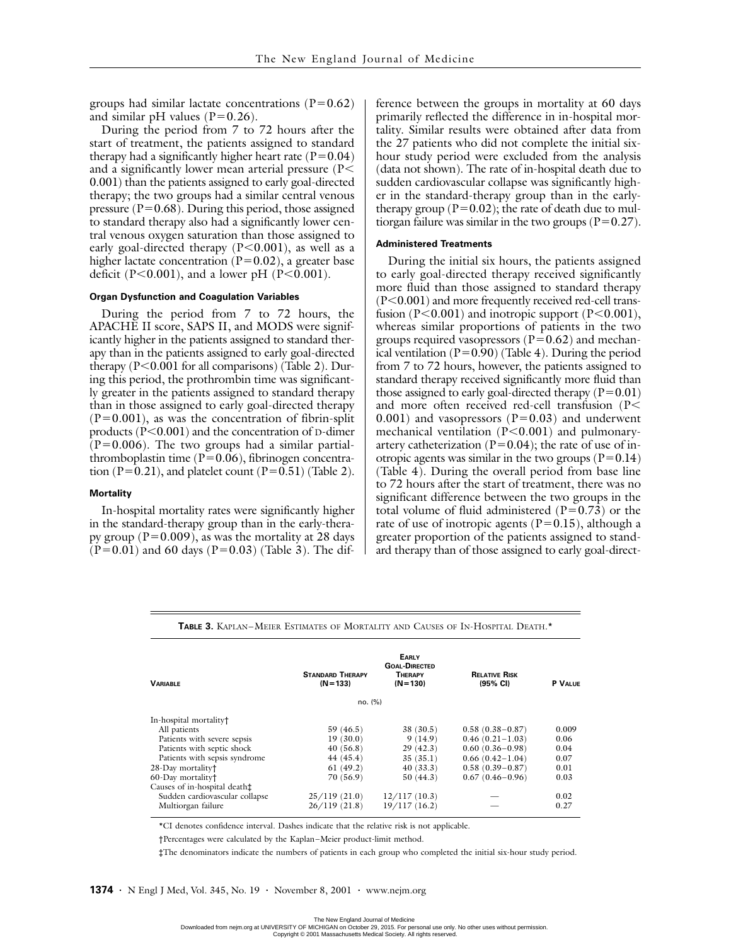groups had similar lactate concentrations  $(P=0.62)$ and similar pH values  $(P=0.26)$ .

During the period from 7 to 72 hours after the start of treatment, the patients assigned to standard therapy had a significantly higher heart rate ( $P=0.04$ ) and a significantly lower mean arterial pressure (P< 0.001) than the patients assigned to early goal-directed therapy; the two groups had a similar central venous pressure ( $P=0.68$ ). During this period, those assigned to standard therapy also had a significantly lower central venous oxygen saturation than those assigned to early goal-directed therapy  $(P<0.001)$ , as well as a higher lactate concentration ( $P=0.02$ ), a greater base deficit ( $P<0.001$ ), and a lower pH ( $P<0.001$ ).

# **Organ Dysfunction and Coagulation Variables**

During the period from 7 to 72 hours, the APACHE II score, SAPS II, and MODS were significantly higher in the patients assigned to standard therapy than in the patients assigned to early goal-directed therapy  $(P<0.001$  for all comparisons) (Table 2). During this period, the prothrombin time was significantly greater in the patients assigned to standard therapy than in those assigned to early goal-directed therapy  $(P=0.001)$ , as was the concentration of fibrin-split products (P<0.001) and the concentration of D-dimer  $($ P=0.006). The two groups had a similar partialthromboplastin time  $(P=0.06)$ , fibrinogen concentration (P=0.21), and platelet count (P=0.51) (Table 2).

### **Mortality**

In-hospital mortality rates were significantly higher in the standard-therapy group than in the early-therapy group  $(P=0.009)$ , as was the mortality at 28 days  $(P=0.01)$  and 60 days  $(P=0.03)$  (Table 3). The difference between the groups in mortality at 60 days primarily reflected the difference in in-hospital mortality. Similar results were obtained after data from the 27 patients who did not complete the initial sixhour study period were excluded from the analysis (data not shown). The rate of in-hospital death due to sudden cardiovascular collapse was significantly higher in the standard-therapy group than in the earlytherapy group ( $P=0.02$ ); the rate of death due to multiorgan failure was similar in the two groups  $(P=0.27)$ .

## **Administered Treatments**

During the initial six hours, the patients assigned to early goal-directed therapy received significantly more fluid than those assigned to standard therapy (P<0.001) and more frequently received red-cell transfusion ( $P<0.001$ ) and inotropic support ( $P<0.001$ ), whereas similar proportions of patients in the two groups required vasopressors  $(P=0.62)$  and mechanical ventilation ( $P=0.90$ ) (Table 4). During the period from 7 to 72 hours, however, the patients assigned to standard therapy received significantly more fluid than those assigned to early goal-directed therapy  $(P=0.01)$ and more often received red-cell transfusion (P< 0.001) and vasopressors  $(P=0.03)$  and underwent mechanical ventilation (P<0.001) and pulmonaryartery catheterization ( $P=0.04$ ); the rate of use of inotropic agents was similar in the two groups  $(P=0.14)$ (Table 4). During the overall period from base line to 72 hours after the start of treatment, there was no significant difference between the two groups in the total volume of fluid administered  $(P=0.73)$  or the rate of use of inotropic agents ( $P=0.15$ ), although a greater proportion of the patients assigned to standard therapy than of those assigned to early goal-direct-

**TABLE 3.** KAPLAN–MEIER ESTIMATES OF MORTALITY AND CAUSES OF IN-HOSPITAL DEATH.\*

| <b><i>VARIABLE</i></b>         | <b>STANDARD THERAPY</b><br>$(N = 133)$ | EARLY<br><b>GOAL-DIRECTED</b><br><b>THERAPY</b><br>$(N = 130)$ | <b>RELATIVE RISK</b><br>$(95% \text{ Cl})$ | <b>P VALUE</b> |
|--------------------------------|----------------------------------------|----------------------------------------------------------------|--------------------------------------------|----------------|
|                                | no. (%)                                |                                                                |                                            |                |
| In-hospital mortality†         |                                        |                                                                |                                            |                |
| All patients                   | 59(46.5)                               | 38(30.5)                                                       | $0.58(0.38 - 0.87)$                        | 0.009          |
| Patients with severe sepsis    | 19(30.0)                               | 9(14.9)                                                        | $0.46(0.21-1.03)$                          | 0.06           |
| Patients with septic shock     | 40(56.8)                               | 29(42.3)                                                       | $0.60(0.36 - 0.98)$                        | 0.04           |
| Patients with sepsis syndrome  | 44(45.4)                               | 35(35.1)                                                       | $0.66(0.42 - 1.04)$                        | 0.07           |
| 28-Day mortality†              | 61(49.2)                               | 40(33.3)                                                       | $0.58(0.39 - 0.87)$                        | 0.01           |
| 60-Day mortality†              | 70(56.9)                               | 50(44.3)                                                       | $0.67(0.46 - 0.96)$                        | 0.03           |
| Causes of in-hospital death‡   |                                        |                                                                |                                            |                |
| Sudden cardiovascular collapse | 25/119(21.0)                           | 12/117(10.3)                                                   |                                            | 0.02           |
| Multiorgan failure             | 26/119(21.8)                           | 19/117(16.2)                                                   |                                            | 0.27           |

\*CI denotes confidence interval. Dashes indicate that the relative risk is not applicable.

†Percentages were calculated by the Kaplan–Meier product-limit method.

‡The denominators indicate the numbers of patients in each group who completed the initial six-hour study period.

**1374 ·** N Engl J Med, Vol. 345, No. 19 **·** November 8, 2001 **·** www.nejm.org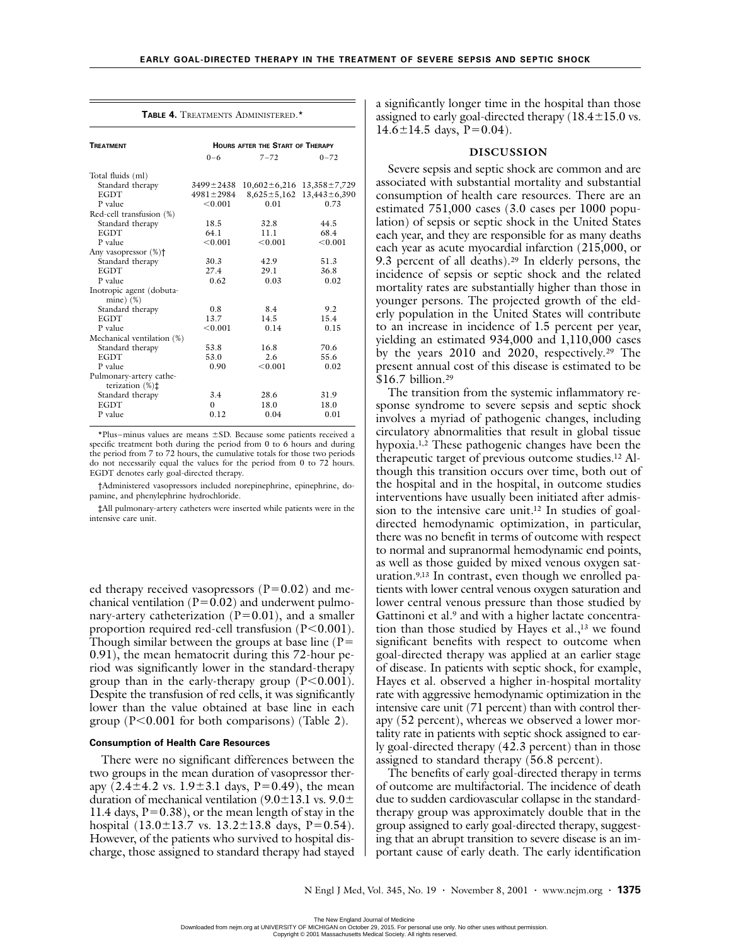| TABLE 4. TREATMENTS ADMINISTERED.*                                            |                                         |                   |                                       |  |  |  |
|-------------------------------------------------------------------------------|-----------------------------------------|-------------------|---------------------------------------|--|--|--|
| <b>TREATMENT</b>                                                              | <b>HOURS AFTER THE START OF THERAPY</b> |                   |                                       |  |  |  |
|                                                                               | $0 - 6$                                 | $7 - 72$          | $0 - 72$                              |  |  |  |
| Total fluids (ml)                                                             |                                         |                   |                                       |  |  |  |
| Standard therapy                                                              | $3499 \pm 2438$                         |                   | $10,602 \pm 6,216$ $13,358 \pm 7,729$ |  |  |  |
| <b>EGDT</b>                                                                   | $4981 \pm 2984$                         | $8,625 \pm 5,162$ | $13,443 \pm 6,390$                    |  |  |  |
| P value                                                                       | < 0.001                                 | 0.01              | 0.73                                  |  |  |  |
| Red-cell transfusion (%)                                                      |                                         |                   |                                       |  |  |  |
| Standard therapy                                                              | 18.5                                    | 32.8              | 44.5                                  |  |  |  |
| <b>EGDT</b>                                                                   | 64.1                                    | 11.1              | 68.4                                  |  |  |  |
| P value                                                                       | < 0.001                                 | < 0.001           | < 0.001                               |  |  |  |
| Any vasopressor (%) <sup>†</sup>                                              |                                         |                   |                                       |  |  |  |
| Standard therapy                                                              | 30.3                                    | 42.9              | 51.3                                  |  |  |  |
| <b>EGDT</b>                                                                   | 27.4                                    | 29.1              | 36.8                                  |  |  |  |
| P value                                                                       | 0.62                                    | 0.03              | 0.02                                  |  |  |  |
| Inotropic agent (dobuta-<br>$mine)$ (%)                                       |                                         |                   |                                       |  |  |  |
| Standard therapy                                                              | 0.8                                     | 8.4               | 9.2                                   |  |  |  |
| <b>EGDT</b>                                                                   | 13.7                                    | 14.5              | 15.4                                  |  |  |  |
| P value                                                                       | < 0.001                                 | 0.14              | 0.15                                  |  |  |  |
| Mechanical ventilation (%)                                                    |                                         |                   |                                       |  |  |  |
| Standard therapy                                                              | 53.8                                    | 16.8              | 70.6                                  |  |  |  |
| <b>EGDT</b>                                                                   | 53.0                                    | 2.6               | 55.6                                  |  |  |  |
| P value                                                                       | 0.90                                    | < 0.001           | 0.02                                  |  |  |  |
| Pulmonary-artery cathe-<br>terization $(\%)$ <sup><math>\ddagger</math></sup> |                                         |                   |                                       |  |  |  |
| Standard therapy                                                              | 3.4                                     | 28.6              | 31.9                                  |  |  |  |
| <b>EGDT</b>                                                                   | $\Omega$                                | 18.0              | 18.0                                  |  |  |  |
| P value                                                                       | 0.12                                    | 0.04              | 0.01                                  |  |  |  |

\*Plus–minus values are means ±SD. Because some patients received a specific treatment both during the period from  $0$  to  $6$  hours and during the period from 7 to 72 hours, the cumulative totals for those two periods do not necessarily equal the values for the period from 0 to 72 hours. EGDT denotes early goal-directed therapy.

†Administered vasopressors included norepinephrine, epinephrine, dopamine, and phenylephrine hydrochloride.

‡All pulmonary-artery catheters were inserted while patients were in the intensive care unit.

ed therapy received vasopressors  $(P=0.02)$  and mechanical ventilation ( $P=0.02$ ) and underwent pulmonary-artery catheterization  $(P=0.01)$ , and a smaller proportion required red-cell transfusion  $(P<0.001)$ . Though similar between the groups at base line ( $P=$ 0.91), the mean hematocrit during this 72-hour period was significantly lower in the standard-therapy group than in the early-therapy group  $(P<0.001)$ . Despite the transfusion of red cells, it was significantly lower than the value obtained at base line in each group  $(P<0.001$  for both comparisons) (Table 2).

# **Consumption of Health Care Resources**

There were no significant differences between the two groups in the mean duration of vasopressor therapy  $(2.4\pm4.2 \text{ vs. } 1.9\pm3.1 \text{ days}, P=0.49)$ , the mean duration of mechanical ventilation  $(9.0 \pm 13.1 \text{ vs. } 9.0 \pm 13.1 \text{ vs. } 9.0 \pm 13.1 \text{ vs. } 9.0 \pm 13.1 \text{ vs. } 9.0 \pm 13.1 \text{ vs. } 9.0 \pm 13.1 \text{ vs. } 9.0 \pm 13.1 \text{ vs. } 9.0 \pm 13.1 \text{ vs. } 9.0 \pm 13.1 \text{ vs. } 9.0 \pm 13.1 \text{ vs. } 9.0 \pm 13.1 \text{ vs$ 11.4 days, P=0.38), or the mean length of stay in the hospital  $(13.0 \pm 13.7 \text{ vs. } 13.2 \pm 13.8 \text{ days}, \text{ P=0.54}).$ However, of the patients who survived to hospital discharge, those assigned to standard therapy had stayed a significantly longer time in the hospital than those assigned to early goal-directed therapy  $(18.4 \pm 15.0 \text{ vs.})$  $14.6 \pm 14.5$  days,  $P = 0.04$ ).

# **DISCUSSION**

Severe sepsis and septic shock are common and are associated with substantial mortality and substantial consumption of health care resources. There are an estimated 751,000 cases (3.0 cases per 1000 population) of sepsis or septic shock in the United States each year, and they are responsible for as many deaths each year as acute myocardial infarction (215,000, or 9.3 percent of all deaths).29 In elderly persons, the incidence of sepsis or septic shock and the related mortality rates are substantially higher than those in younger persons. The projected growth of the elderly population in the United States will contribute to an increase in incidence of 1.5 percent per year, yielding an estimated 934,000 and 1,110,000 cases by the years 2010 and 2020, respectively.29 The present annual cost of this disease is estimated to be \$16.7 billion.29

The transition from the systemic inflammatory response syndrome to severe sepsis and septic shock involves a myriad of pathogenic changes, including circulatory abnormalities that result in global tissue hypoxia.1,2 These pathogenic changes have been the therapeutic target of previous outcome studies.12 Although this transition occurs over time, both out of the hospital and in the hospital, in outcome studies interventions have usually been initiated after admission to the intensive care unit.<sup>12</sup> In studies of goaldirected hemodynamic optimization, in particular, there was no benefit in terms of outcome with respect to normal and supranormal hemodynamic end points, as well as those guided by mixed venous oxygen saturation.9,13 In contrast, even though we enrolled patients with lower central venous oxygen saturation and lower central venous pressure than those studied by Gattinoni et al.<sup>9</sup> and with a higher lactate concentration than those studied by Hayes et al., $13$  we found significant benefits with respect to outcome when goal-directed therapy was applied at an earlier stage of disease. In patients with septic shock, for example, Hayes et al. observed a higher in-hospital mortality rate with aggressive hemodynamic optimization in the intensive care unit (71 percent) than with control therapy (52 percent), whereas we observed a lower mortality rate in patients with septic shock assigned to early goal-directed therapy (42.3 percent) than in those assigned to standard therapy (56.8 percent).

The benefits of early goal-directed therapy in terms of outcome are multifactorial. The incidence of death due to sudden cardiovascular collapse in the standardtherapy group was approximately double that in the group assigned to early goal-directed therapy, suggesting that an abrupt transition to severe disease is an important cause of early death. The early identification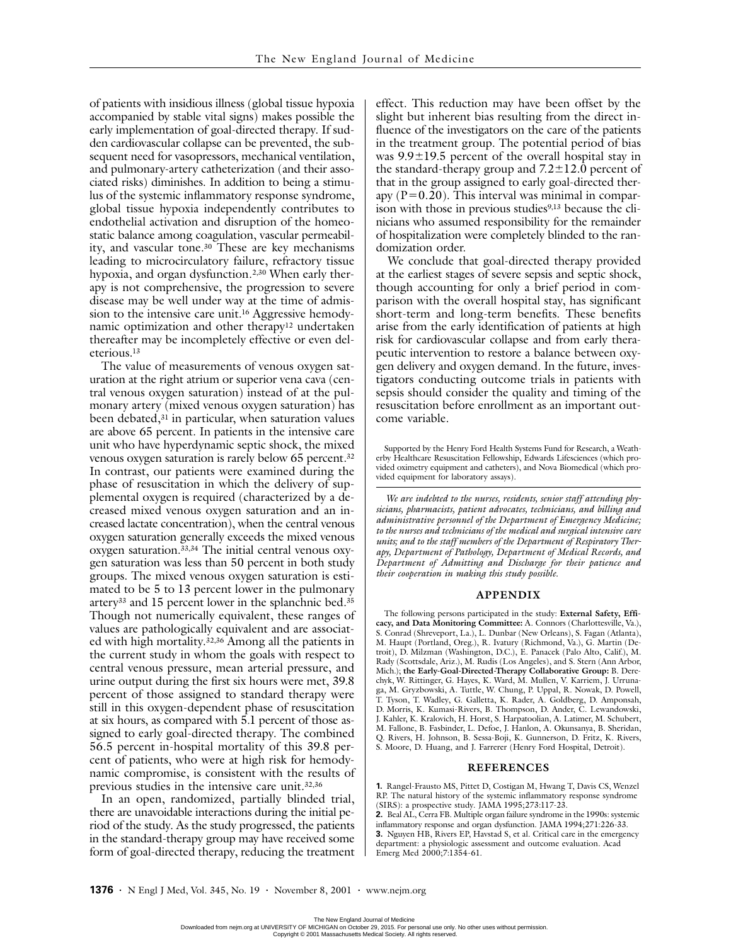of patients with insidious illness (global tissue hypoxia accompanied by stable vital signs) makes possible the early implementation of goal-directed therapy. If sudden cardiovascular collapse can be prevented, the subsequent need for vasopressors, mechanical ventilation, and pulmonary-artery catheterization (and their associated risks) diminishes. In addition to being a stimulus of the systemic inflammatory response syndrome, global tissue hypoxia independently contributes to endothelial activation and disruption of the homeostatic balance among coagulation, vascular permeability, and vascular tone.30 These are key mechanisms leading to microcirculatory failure, refractory tissue hypoxia, and organ dysfunction.2,30 When early therapy is not comprehensive, the progression to severe disease may be well under way at the time of admission to the intensive care unit.<sup>16</sup> Aggressive hemodynamic optimization and other therapy<sup>12</sup> undertaken thereafter may be incompletely effective or even deleterious.13

The value of measurements of venous oxygen saturation at the right atrium or superior vena cava (central venous oxygen saturation) instead of at the pulmonary artery (mixed venous oxygen saturation) has been debated,<sup>31</sup> in particular, when saturation values are above 65 percent. In patients in the intensive care unit who have hyperdynamic septic shock, the mixed venous oxygen saturation is rarely below 65 percent.<sup>32</sup> In contrast, our patients were examined during the phase of resuscitation in which the delivery of supplemental oxygen is required (characterized by a decreased mixed venous oxygen saturation and an increased lactate concentration), when the central venous oxygen saturation generally exceeds the mixed venous oxygen saturation.33,34 The initial central venous oxygen saturation was less than 50 percent in both study groups. The mixed venous oxygen saturation is estimated to be 5 to 13 percent lower in the pulmonary artery<sup>33</sup> and 15 percent lower in the splanchnic bed.<sup>35</sup> Though not numerically equivalent, these ranges of values are pathologically equivalent and are associated with high mortality.<sup>32,36</sup> Among all the patients in the current study in whom the goals with respect to central venous pressure, mean arterial pressure, and urine output during the first six hours were met, 39.8 percent of those assigned to standard therapy were still in this oxygen-dependent phase of resuscitation at six hours, as compared with 5.1 percent of those assigned to early goal-directed therapy. The combined 56.5 percent in-hospital mortality of this 39.8 percent of patients, who were at high risk for hemodynamic compromise, is consistent with the results of previous studies in the intensive care unit.32,36

In an open, randomized, partially blinded trial, there are unavoidable interactions during the initial period of the study. As the study progressed, the patients in the standard-therapy group may have received some form of goal-directed therapy, reducing the treatment effect. This reduction may have been offset by the slight but inherent bias resulting from the direct influence of the investigators on the care of the patients in the treatment group. The potential period of bias was 9.9±19.5 percent of the overall hospital stay in the standard-therapy group and  $7.2 \pm 12.0$  percent of that in the group assigned to early goal-directed therapy  $(P=0.20)$ . This interval was minimal in comparison with those in previous studies<sup>9,13</sup> because the clinicians who assumed responsibility for the remainder of hospitalization were completely blinded to the randomization order.

We conclude that goal-directed therapy provided at the earliest stages of severe sepsis and septic shock, though accounting for only a brief period in comparison with the overall hospital stay, has significant short-term and long-term benefits. These benefits arise from the early identification of patients at high risk for cardiovascular collapse and from early therapeutic intervention to restore a balance between oxygen delivery and oxygen demand. In the future, investigators conducting outcome trials in patients with sepsis should consider the quality and timing of the resuscitation before enrollment as an important outcome variable.

Supported by the Henry Ford Health Systems Fund for Research, a Weatherby Healthcare Resuscitation Fellowship, Edwards Lifesciences (which provided oximetry equipment and catheters), and Nova Biomedical (which provided equipment for laboratory assays).

*We are indebted to the nurses, residents, senior staff attending physicians, pharmacists, patient advocates, technicians, and billing and administrative personnel of the Department of Emergency Medicine; to the nurses and technicians of the medical and surgical intensive care units; and to the staff members of the Department of Respiratory Therapy, Department of Pathology, Department of Medical Records, and Department of Admitting and Discharge for their patience and their cooperation in making this study possible.*

# **APPENDIX**

The following persons participated in the study: **External Safety, Efficacy, and Data Monitoring Committee:** A. Connors (Charlottesville, Va.), S. Conrad (Shreveport, La.), L. Dunbar (New Orleans), S. Fagan (Atlanta), M. Haupt (Portland, Oreg.), R. Ivatury (Richmond, Va.), G. Martin (Detroit), D. Milzman (Washington, D.C.), E. Panacek (Palo Alto, Calif.), M. Rady (Scottsdale, Ariz.), M. Rudis (Los Angeles), and S. Stern (Ann Arbor, Mich.); **the Early-Goal-Directed-Therapy Collaborative Group:** B. Derechyk, W. Rittinger, G. Hayes, K. Ward, M. Mullen, V. Karriem, J. Urrunaga, M. Gryzbowski, A. Tuttle, W. Chung, P. Uppal, R. Nowak, D. Powell, T. Tyson, T. Wadley, G. Galletta, K. Rader, A. Goldberg, D. Amponsah, D. Morris, K. Kumasi-Rivers, B. Thompson, D. Ander, C. Lewandowski, J. Kahler, K. Kralovich, H. Horst, S. Harpatoolian, A. Latimer, M. Schubert, M. Fallone, B. Fasbinder, L. Defoe, J. Hanlon, A. Okunsanya, B. Sheridan, Q. Rivers, H. Johnson, B. Sessa-Boji, K. Gunnerson, D. Fritz, K. Rivers, S. Moore, D. Huang, and J. Farrerer (Henry Ford Hospital, Detroit).

## **REFERENCES**

**1.** Rangel-Frausto MS, Pittet D, Costigan M, Hwang T, Davis CS, Wenzel RP. The natural history of the systemic inflammatory response syndrome (SIRS): a prospective study. JAMA 1995;273:117-23. **2.** Beal AL, Cerra FB. Multiple organ failure syndrome in the 1990s: systemic inflammatory response and organ dysfunction. JAMA 1994;271:226-33. **3.** Nguyen HB, Rivers EP, Havstad S, et al. Critical care in the emergency department: a physiologic assessment and outcome evaluation. Acad Emerg Med 2000;7:1354-61.

**1376 ·** N Engl J Med, Vol. 345, No. 19 **·** November 8, 2001 **·** www.nejm.org

The New England Journal of Medicine<br>Downloaded from nejm.org at UNIVERSITY OF MICHIGAN on October 29, 2015. For personal use only. No other uses without permission. Copyright © 2001 Massachusetts Medical Society. All rights reserved.